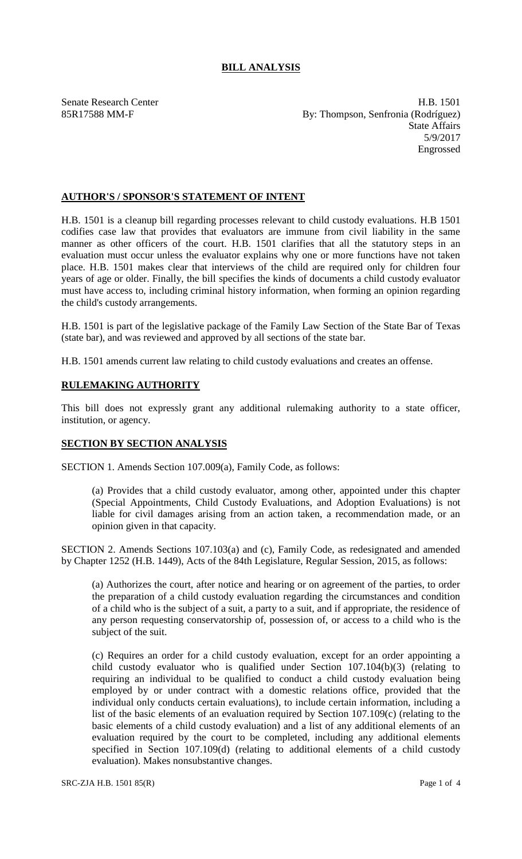## **BILL ANALYSIS**

Senate Research Center **H.B. 1501** 85R17588 MM-F By: Thompson, Senfronia (Rodríguez) State Affairs 5/9/2017 Engrossed

## **AUTHOR'S / SPONSOR'S STATEMENT OF INTENT**

H.B. 1501 is a cleanup bill regarding processes relevant to child custody evaluations. H.B 1501 codifies case law that provides that evaluators are immune from civil liability in the same manner as other officers of the court. H.B. 1501 clarifies that all the statutory steps in an evaluation must occur unless the evaluator explains why one or more functions have not taken place. H.B. 1501 makes clear that interviews of the child are required only for children four years of age or older. Finally, the bill specifies the kinds of documents a child custody evaluator must have access to, including criminal history information, when forming an opinion regarding the child's custody arrangements.

H.B. 1501 is part of the legislative package of the Family Law Section of the State Bar of Texas (state bar), and was reviewed and approved by all sections of the state bar.

H.B. 1501 amends current law relating to child custody evaluations and creates an offense.

## **RULEMAKING AUTHORITY**

This bill does not expressly grant any additional rulemaking authority to a state officer, institution, or agency.

## **SECTION BY SECTION ANALYSIS**

SECTION 1. Amends Section 107.009(a), Family Code, as follows:

(a) Provides that a child custody evaluator, among other, appointed under this chapter (Special Appointments, Child Custody Evaluations, and Adoption Evaluations) is not liable for civil damages arising from an action taken, a recommendation made, or an opinion given in that capacity.

SECTION 2. Amends Sections 107.103(a) and (c), Family Code, as redesignated and amended by Chapter 1252 (H.B. 1449), Acts of the 84th Legislature, Regular Session, 2015, as follows:

(a) Authorizes the court, after notice and hearing or on agreement of the parties, to order the preparation of a child custody evaluation regarding the circumstances and condition of a child who is the subject of a suit, a party to a suit, and if appropriate, the residence of any person requesting conservatorship of, possession of, or access to a child who is the subject of the suit.

(c) Requires an order for a child custody evaluation, except for an order appointing a child custody evaluator who is qualified under Section  $107.104(b)(3)$  (relating to requiring an individual to be qualified to conduct a child custody evaluation being employed by or under contract with a domestic relations office, provided that the individual only conducts certain evaluations), to include certain information, including a list of the basic elements of an evaluation required by Section 107.109(c) (relating to the basic elements of a child custody evaluation) and a list of any additional elements of an evaluation required by the court to be completed, including any additional elements specified in Section 107.109(d) (relating to additional elements of a child custody evaluation). Makes nonsubstantive changes.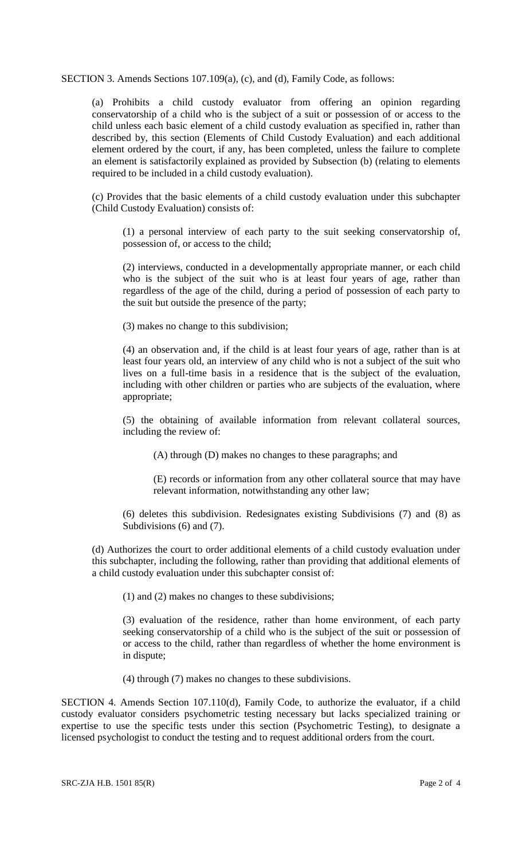SECTION 3. Amends Sections 107.109(a), (c), and (d), Family Code, as follows:

(a) Prohibits a child custody evaluator from offering an opinion regarding conservatorship of a child who is the subject of a suit or possession of or access to the child unless each basic element of a child custody evaluation as specified in, rather than described by, this section (Elements of Child Custody Evaluation) and each additional element ordered by the court, if any, has been completed, unless the failure to complete an element is satisfactorily explained as provided by Subsection (b) (relating to elements required to be included in a child custody evaluation).

(c) Provides that the basic elements of a child custody evaluation under this subchapter (Child Custody Evaluation) consists of:

(1) a personal interview of each party to the suit seeking conservatorship of, possession of, or access to the child;

(2) interviews, conducted in a developmentally appropriate manner, or each child who is the subject of the suit who is at least four years of age, rather than regardless of the age of the child, during a period of possession of each party to the suit but outside the presence of the party;

(3) makes no change to this subdivision;

(4) an observation and, if the child is at least four years of age, rather than is at least four years old, an interview of any child who is not a subject of the suit who lives on a full-time basis in a residence that is the subject of the evaluation, including with other children or parties who are subjects of the evaluation, where appropriate;

(5) the obtaining of available information from relevant collateral sources, including the review of:

(A) through (D) makes no changes to these paragraphs; and

(E) records or information from any other collateral source that may have relevant information, notwithstanding any other law;

(6) deletes this subdivision. Redesignates existing Subdivisions (7) and (8) as Subdivisions (6) and (7).

(d) Authorizes the court to order additional elements of a child custody evaluation under this subchapter, including the following, rather than providing that additional elements of a child custody evaluation under this subchapter consist of:

(1) and (2) makes no changes to these subdivisions;

(3) evaluation of the residence, rather than home environment, of each party seeking conservatorship of a child who is the subject of the suit or possession of or access to the child, rather than regardless of whether the home environment is in dispute;

(4) through (7) makes no changes to these subdivisions.

SECTION 4. Amends Section 107.110(d), Family Code, to authorize the evaluator, if a child custody evaluator considers psychometric testing necessary but lacks specialized training or expertise to use the specific tests under this section (Psychometric Testing), to designate a licensed psychologist to conduct the testing and to request additional orders from the court.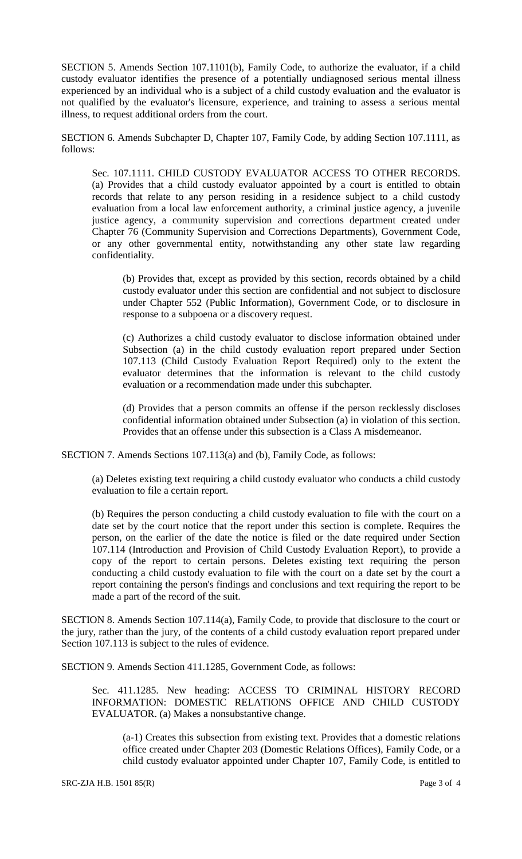SECTION 5. Amends Section 107.1101(b), Family Code, to authorize the evaluator, if a child custody evaluator identifies the presence of a potentially undiagnosed serious mental illness experienced by an individual who is a subject of a child custody evaluation and the evaluator is not qualified by the evaluator's licensure, experience, and training to assess a serious mental illness, to request additional orders from the court.

SECTION 6. Amends Subchapter D, Chapter 107, Family Code, by adding Section 107.1111, as follows:

Sec. 107.1111. CHILD CUSTODY EVALUATOR ACCESS TO OTHER RECORDS. (a) Provides that a child custody evaluator appointed by a court is entitled to obtain records that relate to any person residing in a residence subject to a child custody evaluation from a local law enforcement authority, a criminal justice agency, a juvenile justice agency, a community supervision and corrections department created under Chapter 76 (Community Supervision and Corrections Departments), Government Code, or any other governmental entity, notwithstanding any other state law regarding confidentiality.

(b) Provides that, except as provided by this section, records obtained by a child custody evaluator under this section are confidential and not subject to disclosure under Chapter 552 (Public Information), Government Code, or to disclosure in response to a subpoena or a discovery request.

(c) Authorizes a child custody evaluator to disclose information obtained under Subsection (a) in the child custody evaluation report prepared under Section 107.113 (Child Custody Evaluation Report Required) only to the extent the evaluator determines that the information is relevant to the child custody evaluation or a recommendation made under this subchapter.

(d) Provides that a person commits an offense if the person recklessly discloses confidential information obtained under Subsection (a) in violation of this section. Provides that an offense under this subsection is a Class A misdemeanor.

SECTION 7. Amends Sections 107.113(a) and (b), Family Code, as follows:

(a) Deletes existing text requiring a child custody evaluator who conducts a child custody evaluation to file a certain report.

(b) Requires the person conducting a child custody evaluation to file with the court on a date set by the court notice that the report under this section is complete. Requires the person, on the earlier of the date the notice is filed or the date required under Section 107.114 (Introduction and Provision of Child Custody Evaluation Report), to provide a copy of the report to certain persons. Deletes existing text requiring the person conducting a child custody evaluation to file with the court on a date set by the court a report containing the person's findings and conclusions and text requiring the report to be made a part of the record of the suit.

SECTION 8. Amends Section 107.114(a), Family Code, to provide that disclosure to the court or the jury, rather than the jury, of the contents of a child custody evaluation report prepared under Section 107.113 is subject to the rules of evidence.

SECTION 9. Amends Section 411.1285, Government Code, as follows:

Sec. 411.1285. New heading: ACCESS TO CRIMINAL HISTORY RECORD INFORMATION: DOMESTIC RELATIONS OFFICE AND CHILD CUSTODY EVALUATOR. (a) Makes a nonsubstantive change.

(a-1) Creates this subsection from existing text. Provides that a domestic relations office created under Chapter 203 (Domestic Relations Offices), Family Code, or a child custody evaluator appointed under Chapter 107, Family Code, is entitled to